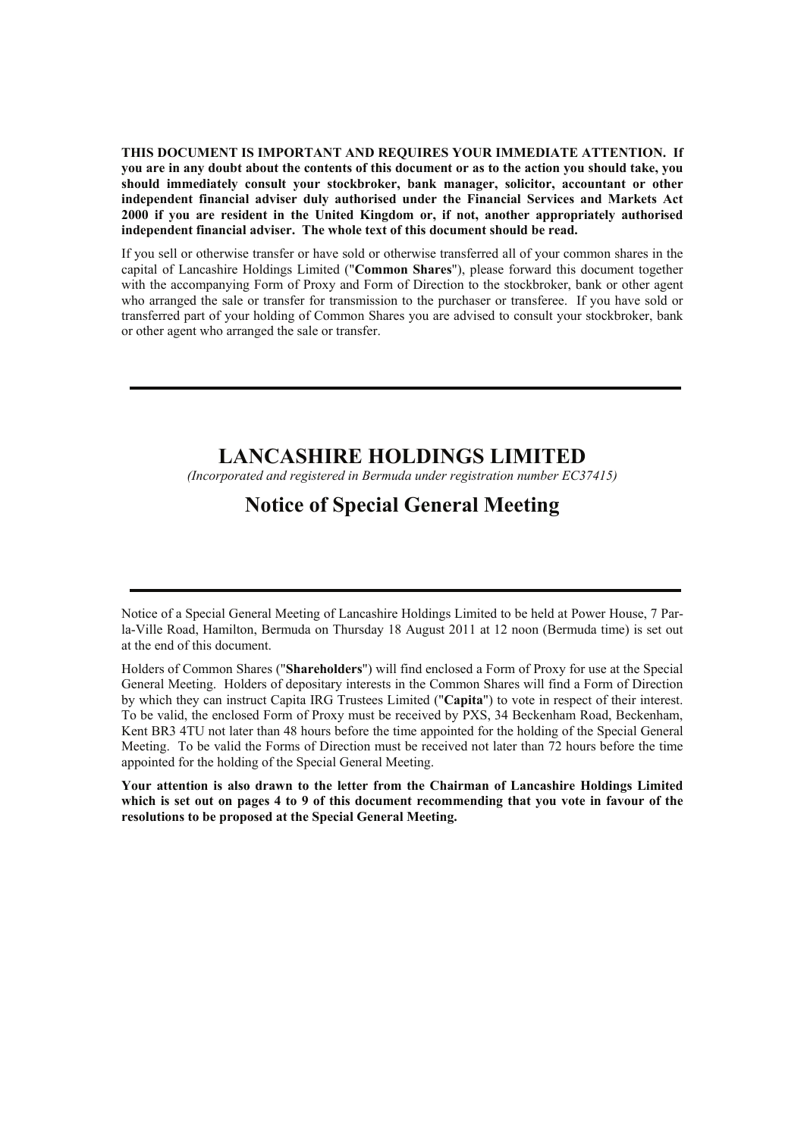**THIS DOCUMENT IS IMPORTANT AND REQUIRES YOUR IMMEDIATE ATTENTION. If you are in any doubt about the contents of this document or as to the action you should take, you should immediately consult your stockbroker, bank manager, solicitor, accountant or other independent financial adviser duly authorised under the Financial Services and Markets Act 2000 if you are resident in the United Kingdom or, if not, another appropriately authorised independent financial adviser. The whole text of this document should be read.** 

If you sell or otherwise transfer or have sold or otherwise transferred all of your common shares in the capital of Lancashire Holdings Limited ("**Common Shares**"), please forward this document together with the accompanying Form of Proxy and Form of Direction to the stockbroker, bank or other agent who arranged the sale or transfer for transmission to the purchaser or transferee. If you have sold or transferred part of your holding of Common Shares you are advised to consult your stockbroker, bank or other agent who arranged the sale or transfer.

## **LANCASHIRE HOLDINGS LIMITED**

*(Incorporated and registered in Bermuda under registration number EC37415)*

# **Notice of Special General Meeting**

Notice of a Special General Meeting of Lancashire Holdings Limited to be held at Power House, 7 Parla-Ville Road, Hamilton, Bermuda on Thursday 18 August 2011 at 12 noon (Bermuda time) is set out at the end of this document.

Holders of Common Shares ("**Shareholders**") will find enclosed a Form of Proxy for use at the Special General Meeting. Holders of depositary interests in the Common Shares will find a Form of Direction by which they can instruct Capita IRG Trustees Limited ("**Capita**") to vote in respect of their interest. To be valid, the enclosed Form of Proxy must be received by PXS, 34 Beckenham Road, Beckenham, Kent BR3 4TU not later than 48 hours before the time appointed for the holding of the Special General Meeting. To be valid the Forms of Direction must be received not later than 72 hours before the time appointed for the holding of the Special General Meeting.

**Your attention is also drawn to the letter from the Chairman of Lancashire Holdings Limited which is set out on pages 4 to 9 of this document recommending that you vote in favour of the resolutions to be proposed at the Special General Meeting.**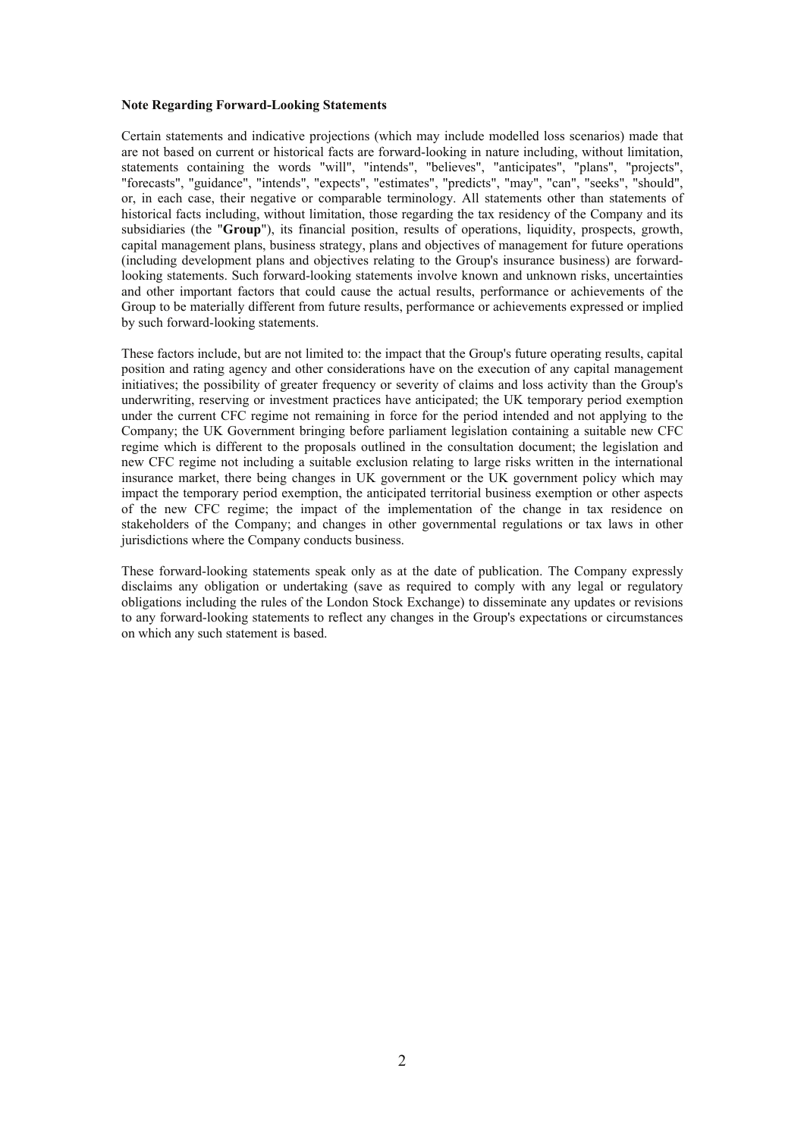#### **Note Regarding Forward-Looking Statements**

Certain statements and indicative projections (which may include modelled loss scenarios) made that are not based on current or historical facts are forward-looking in nature including, without limitation, statements containing the words "will", "intends", "believes", "anticipates", "plans", "projects", "forecasts", "guidance", "intends", "expects", "estimates", "predicts", "may", "can", "seeks", "should", or, in each case, their negative or comparable terminology. All statements other than statements of historical facts including, without limitation, those regarding the tax residency of the Company and its subsidiaries (the "**Group**"), its financial position, results of operations, liquidity, prospects, growth, capital management plans, business strategy, plans and objectives of management for future operations (including development plans and objectives relating to the Group's insurance business) are forwardlooking statements. Such forward-looking statements involve known and unknown risks, uncertainties and other important factors that could cause the actual results, performance or achievements of the Group to be materially different from future results, performance or achievements expressed or implied by such forward-looking statements.

These factors include, but are not limited to: the impact that the Group's future operating results, capital position and rating agency and other considerations have on the execution of any capital management initiatives; the possibility of greater frequency or severity of claims and loss activity than the Group's underwriting, reserving or investment practices have anticipated; the UK temporary period exemption under the current CFC regime not remaining in force for the period intended and not applying to the Company; the UK Government bringing before parliament legislation containing a suitable new CFC regime which is different to the proposals outlined in the consultation document; the legislation and new CFC regime not including a suitable exclusion relating to large risks written in the international insurance market, there being changes in UK government or the UK government policy which may impact the temporary period exemption, the anticipated territorial business exemption or other aspects of the new CFC regime; the impact of the implementation of the change in tax residence on stakeholders of the Company; and changes in other governmental regulations or tax laws in other jurisdictions where the Company conducts business.

These forward-looking statements speak only as at the date of publication. The Company expressly disclaims any obligation or undertaking (save as required to comply with any legal or regulatory obligations including the rules of the London Stock Exchange) to disseminate any updates or revisions to any forward-looking statements to reflect any changes in the Group's expectations or circumstances on which any such statement is based.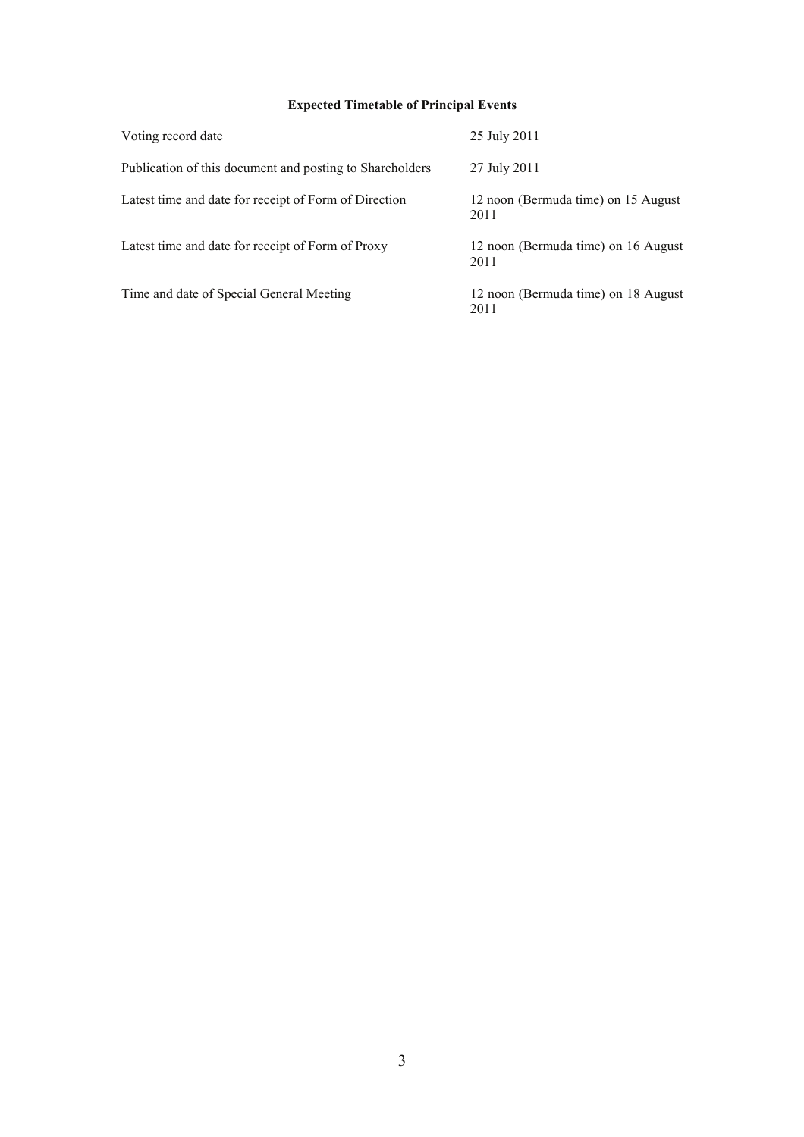## **Expected Timetable of Principal Events**

| Voting record date                                       | 25 July 2011                                |
|----------------------------------------------------------|---------------------------------------------|
| Publication of this document and posting to Shareholders | 27 July 2011                                |
| Latest time and date for receipt of Form of Direction    | 12 noon (Bermuda time) on 15 August<br>2011 |
| Latest time and date for receipt of Form of Proxy        | 12 noon (Bermuda time) on 16 August<br>2011 |
| Time and date of Special General Meeting                 | 12 noon (Bermuda time) on 18 August<br>2011 |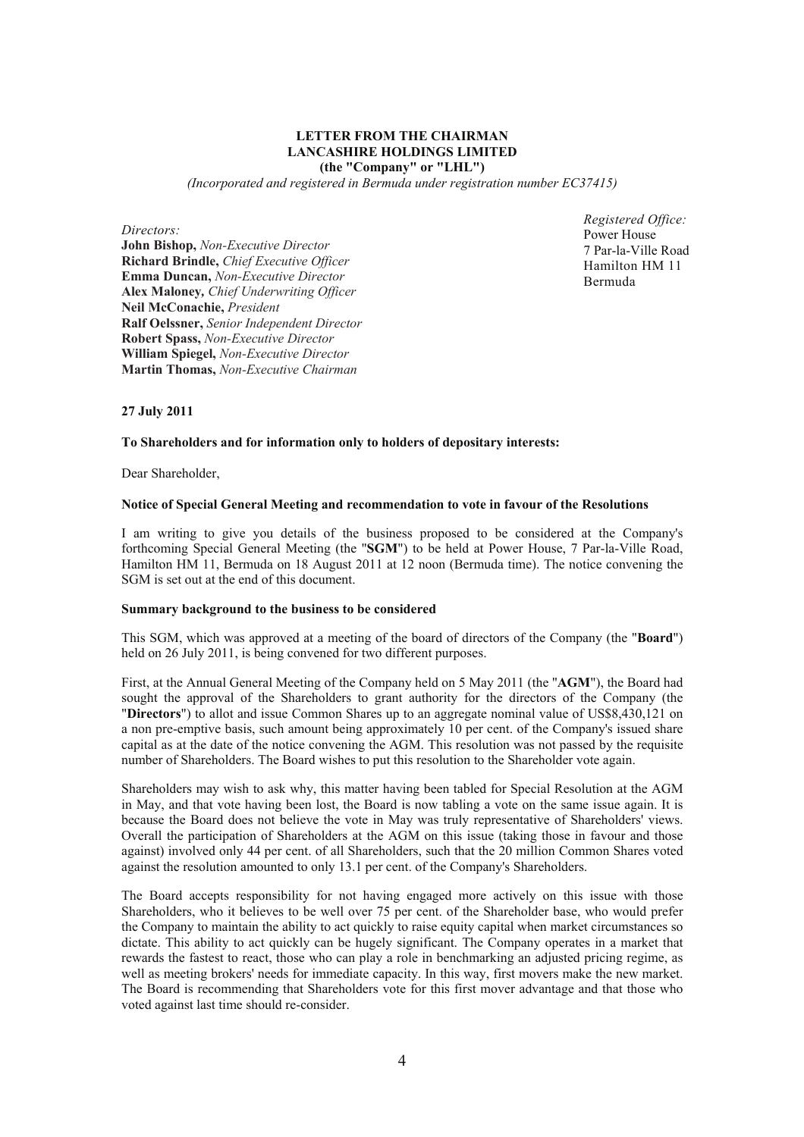## **LETTER FROM THE CHAIRMAN LANCASHIRE HOLDINGS LIMITED (the "Company" or "LHL")**

*(Incorporated and registered in Bermuda under registration number EC37415)* 

*Directors:* 

**John Bishop,** *Non-Executive Director* **Richard Brindle,** *Chief Executive Officer*  **Emma Duncan,** *Non-Executive Director*  **Alex Maloney***, Chief Underwriting Officer* **Neil McConachie,** *President*  **Ralf Oelssner,** *Senior Independent Director* **Robert Spass,** *Non-Executive Director*  **William Spiegel,** *Non-Executive Director*  **Martin Thomas,** *Non-Executive Chairman* 

*Registered Office:*  Power House 7 Par-la-Ville Road Hamilton HM 11 Bermuda

**27 July 2011** 

## **To Shareholders and for information only to holders of depositary interests:**

Dear Shareholder,

## **Notice of Special General Meeting and recommendation to vote in favour of the Resolutions**

I am writing to give you details of the business proposed to be considered at the Company's forthcoming Special General Meeting (the "**SGM**") to be held at Power House, 7 Par-la-Ville Road, Hamilton HM 11, Bermuda on 18 August 2011 at 12 noon (Bermuda time). The notice convening the SGM is set out at the end of this document.

#### **Summary background to the business to be considered**

This SGM, which was approved at a meeting of the board of directors of the Company (the "**Board**") held on 26 July 2011, is being convened for two different purposes.

First, at the Annual General Meeting of the Company held on 5 May 2011 (the "**AGM**"), the Board had sought the approval of the Shareholders to grant authority for the directors of the Company (the "**Directors**") to allot and issue Common Shares up to an aggregate nominal value of US\$8,430,121 on a non pre-emptive basis, such amount being approximately 10 per cent. of the Company's issued share capital as at the date of the notice convening the AGM. This resolution was not passed by the requisite number of Shareholders. The Board wishes to put this resolution to the Shareholder vote again.

Shareholders may wish to ask why, this matter having been tabled for Special Resolution at the AGM in May, and that vote having been lost, the Board is now tabling a vote on the same issue again. It is because the Board does not believe the vote in May was truly representative of Shareholders' views. Overall the participation of Shareholders at the AGM on this issue (taking those in favour and those against) involved only 44 per cent. of all Shareholders, such that the 20 million Common Shares voted against the resolution amounted to only 13.1 per cent. of the Company's Shareholders.

The Board accepts responsibility for not having engaged more actively on this issue with those Shareholders, who it believes to be well over 75 per cent. of the Shareholder base, who would prefer the Company to maintain the ability to act quickly to raise equity capital when market circumstances so dictate. This ability to act quickly can be hugely significant. The Company operates in a market that rewards the fastest to react, those who can play a role in benchmarking an adjusted pricing regime, as well as meeting brokers' needs for immediate capacity. In this way, first movers make the new market. The Board is recommending that Shareholders vote for this first mover advantage and that those who voted against last time should re-consider.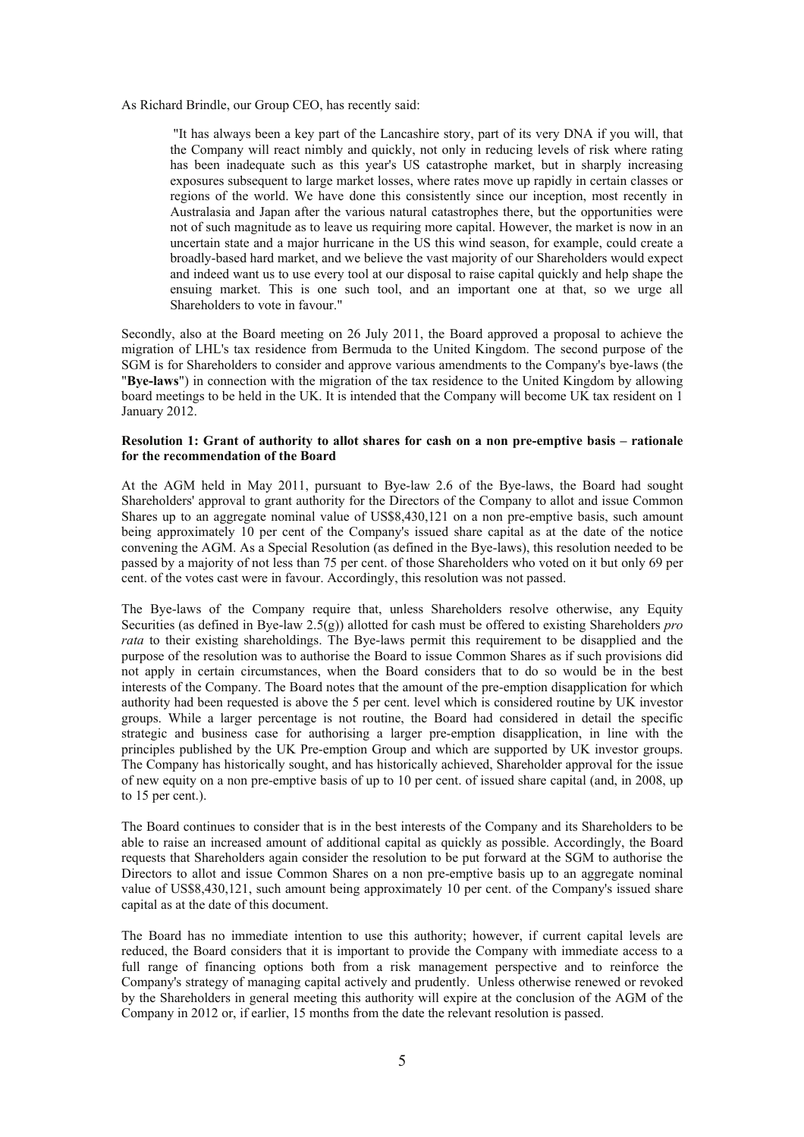As Richard Brindle, our Group CEO, has recently said:

"It has always been a key part of the Lancashire story, part of its very DNA if you will, that the Company will react nimbly and quickly, not only in reducing levels of risk where rating has been inadequate such as this year's US catastrophe market, but in sharply increasing exposures subsequent to large market losses, where rates move up rapidly in certain classes or regions of the world. We have done this consistently since our inception, most recently in Australasia and Japan after the various natural catastrophes there, but the opportunities were not of such magnitude as to leave us requiring more capital. However, the market is now in an uncertain state and a major hurricane in the US this wind season, for example, could create a broadly-based hard market, and we believe the vast majority of our Shareholders would expect and indeed want us to use every tool at our disposal to raise capital quickly and help shape the ensuing market. This is one such tool, and an important one at that, so we urge all Shareholders to vote in favour."

Secondly, also at the Board meeting on 26 July 2011, the Board approved a proposal to achieve the migration of LHL's tax residence from Bermuda to the United Kingdom. The second purpose of the SGM is for Shareholders to consider and approve various amendments to the Company's bye-laws (the "**Bye-laws**") in connection with the migration of the tax residence to the United Kingdom by allowing board meetings to be held in the UK. It is intended that the Company will become UK tax resident on 1 January 2012.

## **Resolution 1: Grant of authority to allot shares for cash on a non pre-emptive basis – rationale for the recommendation of the Board**

At the AGM held in May 2011, pursuant to Bye-law 2.6 of the Bye-laws, the Board had sought Shareholders' approval to grant authority for the Directors of the Company to allot and issue Common Shares up to an aggregate nominal value of US\$8,430,121 on a non pre-emptive basis, such amount being approximately 10 per cent of the Company's issued share capital as at the date of the notice convening the AGM. As a Special Resolution (as defined in the Bye-laws), this resolution needed to be passed by a majority of not less than 75 per cent. of those Shareholders who voted on it but only 69 per cent. of the votes cast were in favour. Accordingly, this resolution was not passed.

The Bye-laws of the Company require that, unless Shareholders resolve otherwise, any Equity Securities (as defined in Bye-law 2.5(g)) allotted for cash must be offered to existing Shareholders *pro rata* to their existing shareholdings. The Bye-laws permit this requirement to be disapplied and the purpose of the resolution was to authorise the Board to issue Common Shares as if such provisions did not apply in certain circumstances, when the Board considers that to do so would be in the best interests of the Company. The Board notes that the amount of the pre-emption disapplication for which authority had been requested is above the 5 per cent. level which is considered routine by UK investor groups. While a larger percentage is not routine, the Board had considered in detail the specific strategic and business case for authorising a larger pre-emption disapplication, in line with the principles published by the UK Pre-emption Group and which are supported by UK investor groups. The Company has historically sought, and has historically achieved, Shareholder approval for the issue of new equity on a non pre-emptive basis of up to 10 per cent. of issued share capital (and, in 2008, up to 15 per cent.).

The Board continues to consider that is in the best interests of the Company and its Shareholders to be able to raise an increased amount of additional capital as quickly as possible. Accordingly, the Board requests that Shareholders again consider the resolution to be put forward at the SGM to authorise the Directors to allot and issue Common Shares on a non pre-emptive basis up to an aggregate nominal value of US\$8,430,121, such amount being approximately 10 per cent. of the Company's issued share capital as at the date of this document.

The Board has no immediate intention to use this authority; however, if current capital levels are reduced, the Board considers that it is important to provide the Company with immediate access to a full range of financing options both from a risk management perspective and to reinforce the Company's strategy of managing capital actively and prudently. Unless otherwise renewed or revoked by the Shareholders in general meeting this authority will expire at the conclusion of the AGM of the Company in 2012 or, if earlier, 15 months from the date the relevant resolution is passed.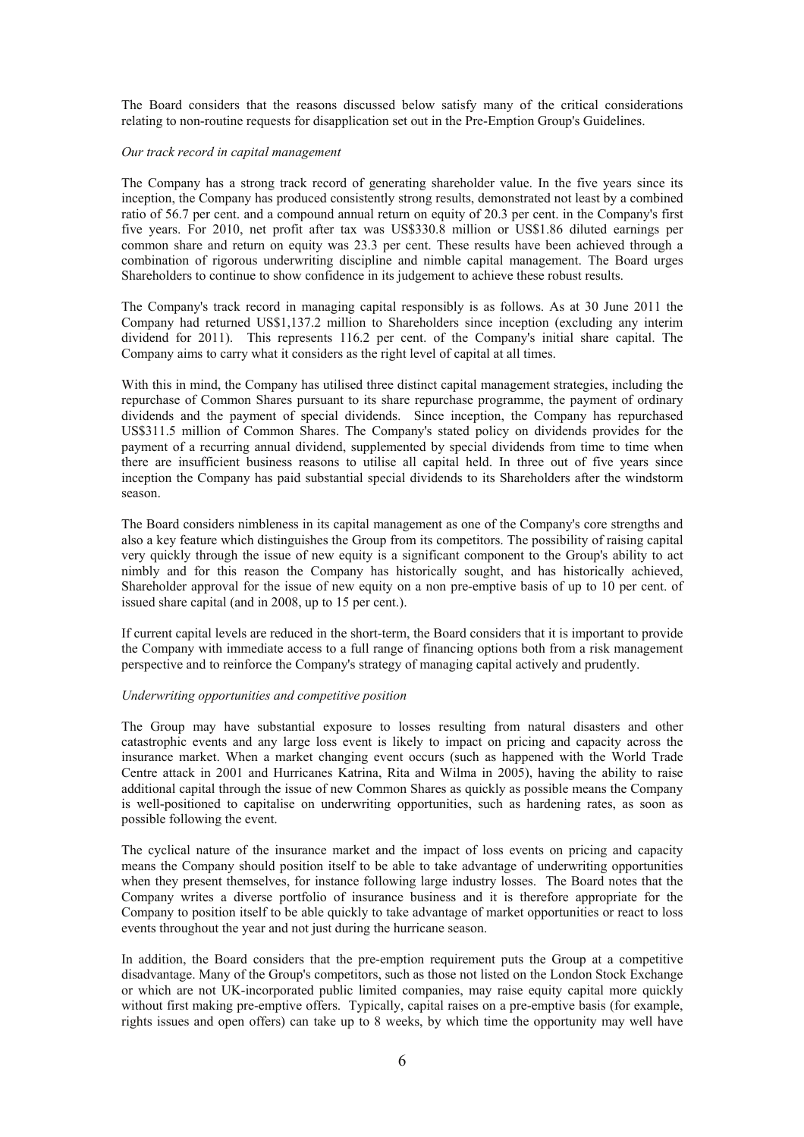The Board considers that the reasons discussed below satisfy many of the critical considerations relating to non-routine requests for disapplication set out in the Pre-Emption Group's Guidelines.

#### *Our track record in capital management*

The Company has a strong track record of generating shareholder value. In the five years since its inception, the Company has produced consistently strong results, demonstrated not least by a combined ratio of 56.7 per cent. and a compound annual return on equity of 20.3 per cent. in the Company's first five years. For 2010, net profit after tax was US\$330.8 million or US\$1.86 diluted earnings per common share and return on equity was 23.3 per cent. These results have been achieved through a combination of rigorous underwriting discipline and nimble capital management. The Board urges Shareholders to continue to show confidence in its judgement to achieve these robust results.

The Company's track record in managing capital responsibly is as follows. As at 30 June 2011 the Company had returned US\$1,137.2 million to Shareholders since inception (excluding any interim dividend for 2011). This represents 116.2 per cent. of the Company's initial share capital. The Company aims to carry what it considers as the right level of capital at all times.

With this in mind, the Company has utilised three distinct capital management strategies, including the repurchase of Common Shares pursuant to its share repurchase programme, the payment of ordinary dividends and the payment of special dividends. Since inception, the Company has repurchased US\$311.5 million of Common Shares. The Company's stated policy on dividends provides for the payment of a recurring annual dividend, supplemented by special dividends from time to time when there are insufficient business reasons to utilise all capital held. In three out of five years since inception the Company has paid substantial special dividends to its Shareholders after the windstorm season.

The Board considers nimbleness in its capital management as one of the Company's core strengths and also a key feature which distinguishes the Group from its competitors. The possibility of raising capital very quickly through the issue of new equity is a significant component to the Group's ability to act nimbly and for this reason the Company has historically sought, and has historically achieved, Shareholder approval for the issue of new equity on a non pre-emptive basis of up to 10 per cent. of issued share capital (and in 2008, up to 15 per cent.).

If current capital levels are reduced in the short-term, the Board considers that it is important to provide the Company with immediate access to a full range of financing options both from a risk management perspective and to reinforce the Company's strategy of managing capital actively and prudently.

## *Underwriting opportunities and competitive position*

The Group may have substantial exposure to losses resulting from natural disasters and other catastrophic events and any large loss event is likely to impact on pricing and capacity across the insurance market. When a market changing event occurs (such as happened with the World Trade Centre attack in 2001 and Hurricanes Katrina, Rita and Wilma in 2005), having the ability to raise additional capital through the issue of new Common Shares as quickly as possible means the Company is well-positioned to capitalise on underwriting opportunities, such as hardening rates, as soon as possible following the event.

The cyclical nature of the insurance market and the impact of loss events on pricing and capacity means the Company should position itself to be able to take advantage of underwriting opportunities when they present themselves, for instance following large industry losses. The Board notes that the Company writes a diverse portfolio of insurance business and it is therefore appropriate for the Company to position itself to be able quickly to take advantage of market opportunities or react to loss events throughout the year and not just during the hurricane season.

In addition, the Board considers that the pre-emption requirement puts the Group at a competitive disadvantage. Many of the Group's competitors, such as those not listed on the London Stock Exchange or which are not UK-incorporated public limited companies, may raise equity capital more quickly without first making pre-emptive offers. Typically, capital raises on a pre-emptive basis (for example, rights issues and open offers) can take up to 8 weeks, by which time the opportunity may well have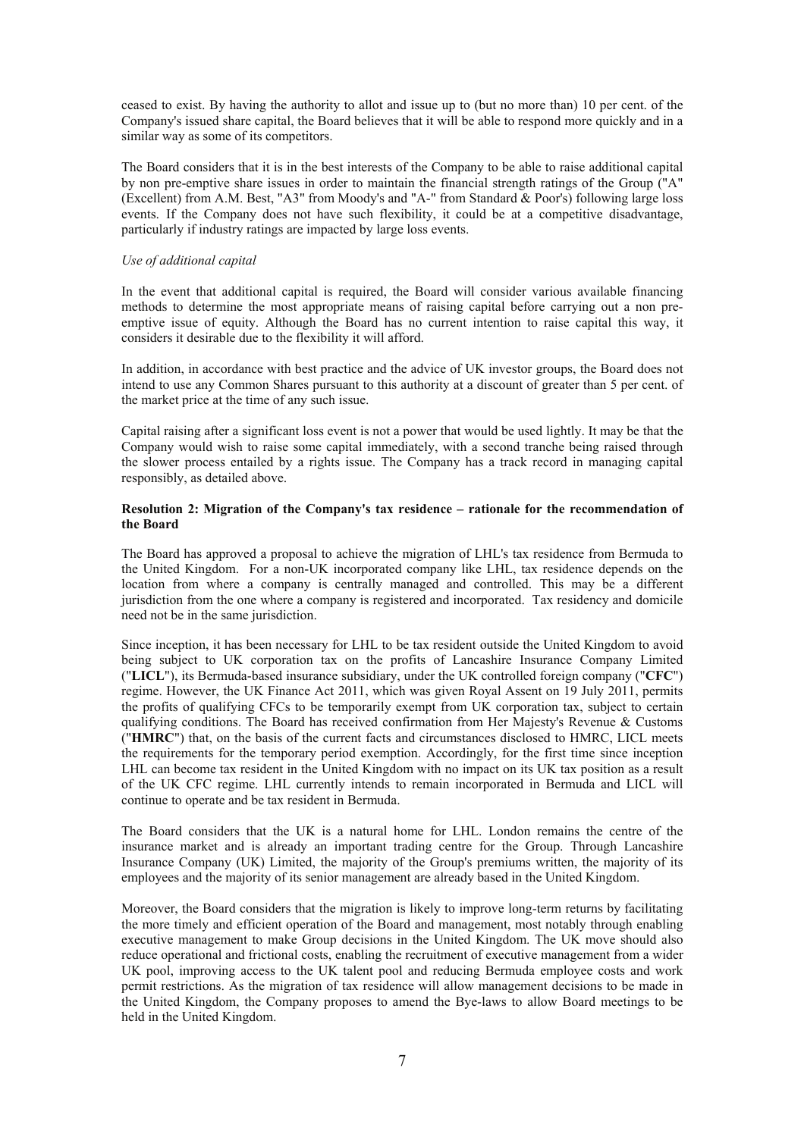ceased to exist. By having the authority to allot and issue up to (but no more than) 10 per cent. of the Company's issued share capital, the Board believes that it will be able to respond more quickly and in a similar way as some of its competitors.

The Board considers that it is in the best interests of the Company to be able to raise additional capital by non pre-emptive share issues in order to maintain the financial strength ratings of the Group ("A" (Excellent) from A.M. Best, "A3" from Moody's and "A-" from Standard & Poor's) following large loss events. If the Company does not have such flexibility, it could be at a competitive disadvantage, particularly if industry ratings are impacted by large loss events.

### *Use of additional capital*

In the event that additional capital is required, the Board will consider various available financing methods to determine the most appropriate means of raising capital before carrying out a non preemptive issue of equity. Although the Board has no current intention to raise capital this way, it considers it desirable due to the flexibility it will afford.

In addition, in accordance with best practice and the advice of UK investor groups, the Board does not intend to use any Common Shares pursuant to this authority at a discount of greater than 5 per cent. of the market price at the time of any such issue.

Capital raising after a significant loss event is not a power that would be used lightly. It may be that the Company would wish to raise some capital immediately, with a second tranche being raised through the slower process entailed by a rights issue. The Company has a track record in managing capital responsibly, as detailed above.

## **Resolution 2: Migration of the Company's tax residence – rationale for the recommendation of the Board**

The Board has approved a proposal to achieve the migration of LHL's tax residence from Bermuda to the United Kingdom. For a non-UK incorporated company like LHL, tax residence depends on the location from where a company is centrally managed and controlled. This may be a different jurisdiction from the one where a company is registered and incorporated. Tax residency and domicile need not be in the same jurisdiction.

Since inception, it has been necessary for LHL to be tax resident outside the United Kingdom to avoid being subject to UK corporation tax on the profits of Lancashire Insurance Company Limited ("**LICL**"), its Bermuda-based insurance subsidiary, under the UK controlled foreign company ("**CFC**") regime. However, the UK Finance Act 2011, which was given Royal Assent on 19 July 2011, permits the profits of qualifying CFCs to be temporarily exempt from UK corporation tax, subject to certain qualifying conditions. The Board has received confirmation from Her Majesty's Revenue & Customs ("**HMRC**") that, on the basis of the current facts and circumstances disclosed to HMRC, LICL meets the requirements for the temporary period exemption. Accordingly, for the first time since inception LHL can become tax resident in the United Kingdom with no impact on its UK tax position as a result of the UK CFC regime. LHL currently intends to remain incorporated in Bermuda and LICL will continue to operate and be tax resident in Bermuda.

The Board considers that the UK is a natural home for LHL. London remains the centre of the insurance market and is already an important trading centre for the Group. Through Lancashire Insurance Company (UK) Limited, the majority of the Group's premiums written, the majority of its employees and the majority of its senior management are already based in the United Kingdom.

Moreover, the Board considers that the migration is likely to improve long-term returns by facilitating the more timely and efficient operation of the Board and management, most notably through enabling executive management to make Group decisions in the United Kingdom. The UK move should also reduce operational and frictional costs, enabling the recruitment of executive management from a wider UK pool, improving access to the UK talent pool and reducing Bermuda employee costs and work permit restrictions. As the migration of tax residence will allow management decisions to be made in the United Kingdom, the Company proposes to amend the Bye-laws to allow Board meetings to be held in the United Kingdom.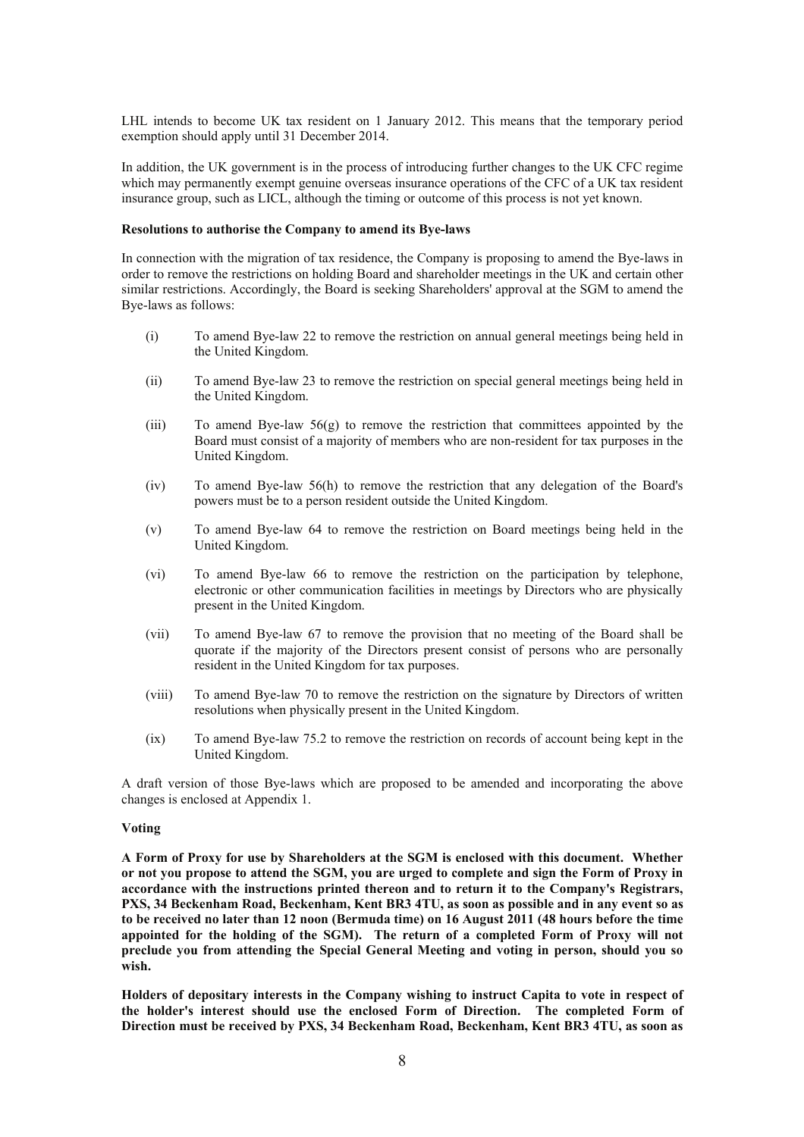LHL intends to become UK tax resident on 1 January 2012. This means that the temporary period exemption should apply until 31 December 2014.

In addition, the UK government is in the process of introducing further changes to the UK CFC regime which may permanently exempt genuine overseas insurance operations of the CFC of a UK tax resident insurance group, such as LICL, although the timing or outcome of this process is not yet known.

### **Resolutions to authorise the Company to amend its Bye-laws**

In connection with the migration of tax residence, the Company is proposing to amend the Bye-laws in order to remove the restrictions on holding Board and shareholder meetings in the UK and certain other similar restrictions. Accordingly, the Board is seeking Shareholders' approval at the SGM to amend the Bye-laws as follows:

- (i) To amend Bye-law 22 to remove the restriction on annual general meetings being held in the United Kingdom.
- (ii) To amend Bye-law 23 to remove the restriction on special general meetings being held in the United Kingdom.
- (iii) To amend Bye-law  $56(g)$  to remove the restriction that committees appointed by the Board must consist of a majority of members who are non-resident for tax purposes in the United Kingdom.
- (iv) To amend Bye-law 56(h) to remove the restriction that any delegation of the Board's powers must be to a person resident outside the United Kingdom.
- (v) To amend Bye-law 64 to remove the restriction on Board meetings being held in the United Kingdom.
- (vi) To amend Bye-law 66 to remove the restriction on the participation by telephone, electronic or other communication facilities in meetings by Directors who are physically present in the United Kingdom.
- (vii) To amend Bye-law 67 to remove the provision that no meeting of the Board shall be quorate if the majority of the Directors present consist of persons who are personally resident in the United Kingdom for tax purposes.
- (viii) To amend Bye-law 70 to remove the restriction on the signature by Directors of written resolutions when physically present in the United Kingdom.
- (ix) To amend Bye-law 75.2 to remove the restriction on records of account being kept in the United Kingdom.

A draft version of those Bye-laws which are proposed to be amended and incorporating the above changes is enclosed at Appendix 1.

#### **Voting**

**A Form of Proxy for use by Shareholders at the SGM is enclosed with this document. Whether or not you propose to attend the SGM, you are urged to complete and sign the Form of Proxy in accordance with the instructions printed thereon and to return it to the Company's Registrars, PXS, 34 Beckenham Road, Beckenham, Kent BR3 4TU, as soon as possible and in any event so as to be received no later than 12 noon (Bermuda time) on 16 August 2011 (48 hours before the time appointed for the holding of the SGM). The return of a completed Form of Proxy will not preclude you from attending the Special General Meeting and voting in person, should you so wish.** 

**Holders of depositary interests in the Company wishing to instruct Capita to vote in respect of the holder's interest should use the enclosed Form of Direction. The completed Form of Direction must be received by PXS, 34 Beckenham Road, Beckenham, Kent BR3 4TU, as soon as**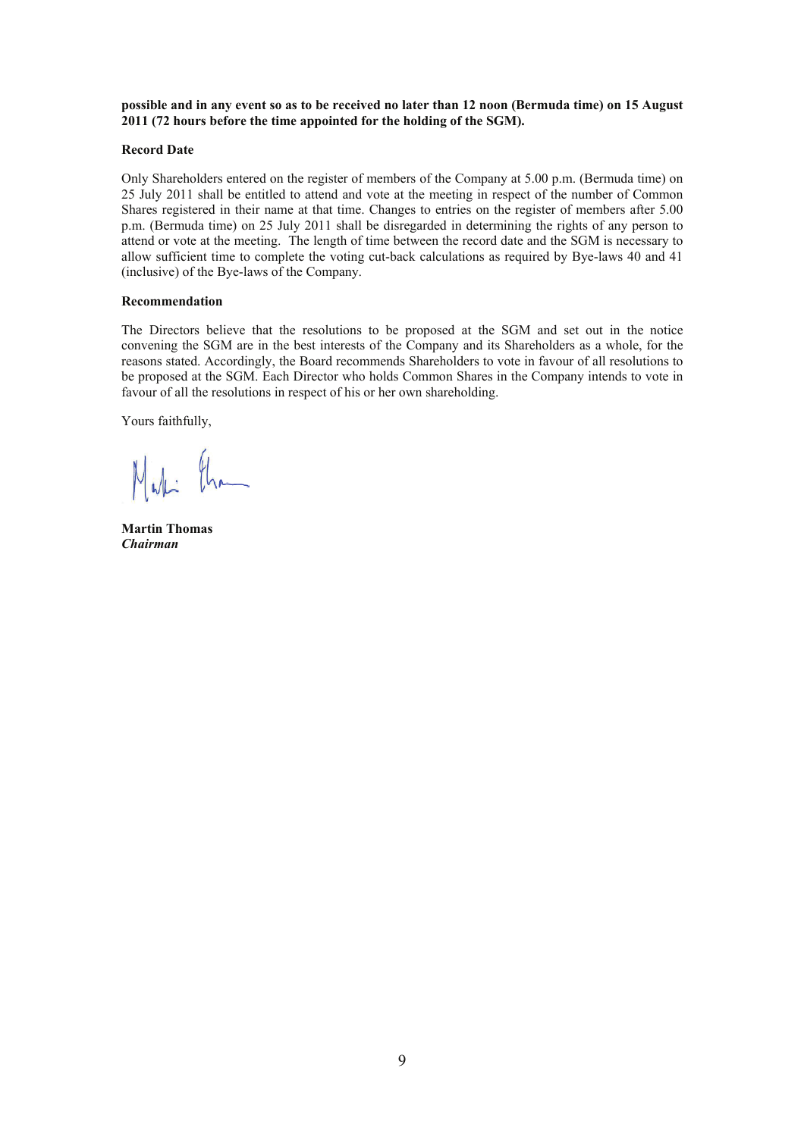**possible and in any event so as to be received no later than 12 noon (Bermuda time) on 15 August 2011 (72 hours before the time appointed for the holding of the SGM).** 

## **Record Date**

Only Shareholders entered on the register of members of the Company at 5.00 p.m. (Bermuda time) on 25 July 2011 shall be entitled to attend and vote at the meeting in respect of the number of Common Shares registered in their name at that time. Changes to entries on the register of members after 5.00 p.m. (Bermuda time) on 25 July 2011 shall be disregarded in determining the rights of any person to attend or vote at the meeting. The length of time between the record date and the SGM is necessary to allow sufficient time to complete the voting cut-back calculations as required by Bye-laws 40 and 41 (inclusive) of the Bye-laws of the Company.

## **Recommendation**

The Directors believe that the resolutions to be proposed at the SGM and set out in the notice convening the SGM are in the best interests of the Company and its Shareholders as a whole, for the reasons stated. Accordingly, the Board recommends Shareholders to vote in favour of all resolutions to be proposed at the SGM. Each Director who holds Common Shares in the Company intends to vote in favour of all the resolutions in respect of his or her own shareholding.

Yours faithfully,

**Martin Thomas**  *Chairman*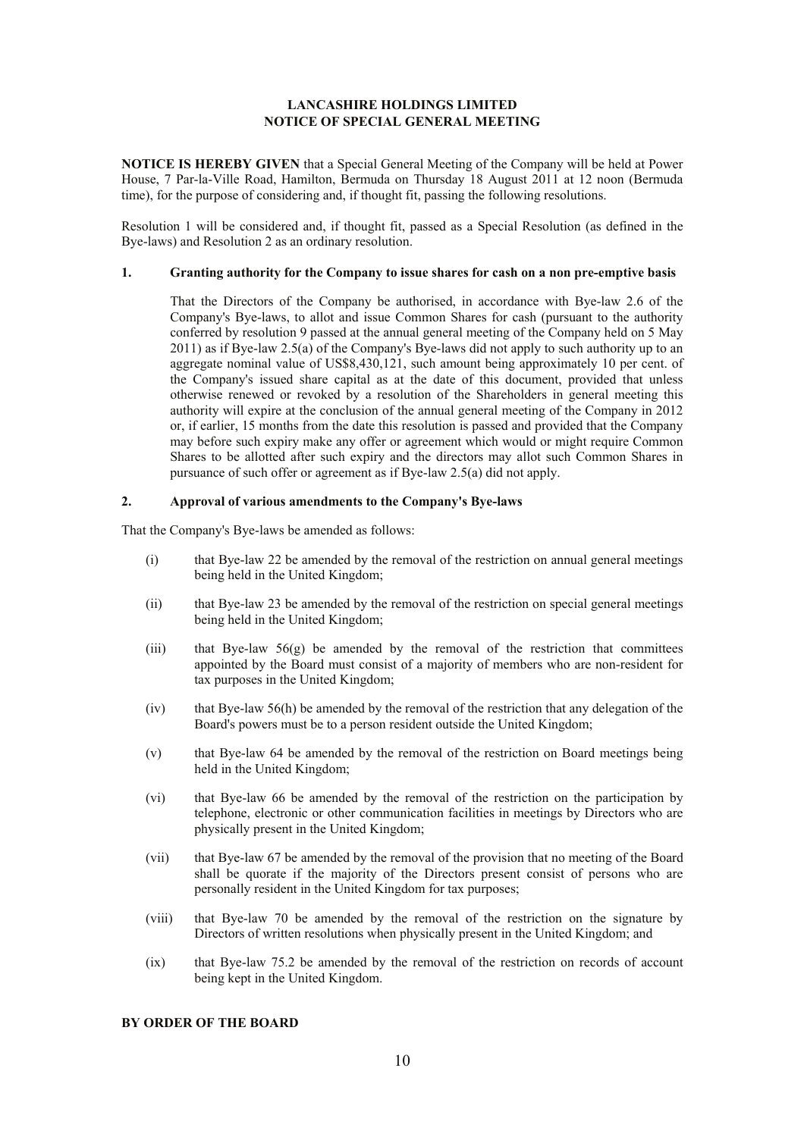## **LANCASHIRE HOLDINGS LIMITED NOTICE OF SPECIAL GENERAL MEETING**

**NOTICE IS HEREBY GIVEN** that a Special General Meeting of the Company will be held at Power House, 7 Par-la-Ville Road, Hamilton, Bermuda on Thursday 18 August 2011 at 12 noon (Bermuda time), for the purpose of considering and, if thought fit, passing the following resolutions.

Resolution 1 will be considered and, if thought fit, passed as a Special Resolution (as defined in the Bye-laws) and Resolution 2 as an ordinary resolution.

## **1. Granting authority for the Company to issue shares for cash on a non pre-emptive basis**

 That the Directors of the Company be authorised, in accordance with Bye-law 2.6 of the Company's Bye-laws, to allot and issue Common Shares for cash (pursuant to the authority conferred by resolution 9 passed at the annual general meeting of the Company held on 5 May 2011) as if Bye-law 2.5(a) of the Company's Bye-laws did not apply to such authority up to an aggregate nominal value of US\$8,430,121, such amount being approximately 10 per cent. of the Company's issued share capital as at the date of this document, provided that unless otherwise renewed or revoked by a resolution of the Shareholders in general meeting this authority will expire at the conclusion of the annual general meeting of the Company in 2012 or, if earlier, 15 months from the date this resolution is passed and provided that the Company may before such expiry make any offer or agreement which would or might require Common Shares to be allotted after such expiry and the directors may allot such Common Shares in pursuance of such offer or agreement as if Bye-law 2.5(a) did not apply.

## **2. Approval of various amendments to the Company's Bye-laws**

That the Company's Bye-laws be amended as follows:

- (i) that Bye-law 22 be amended by the removal of the restriction on annual general meetings being held in the United Kingdom;
- (ii) that Bye-law 23 be amended by the removal of the restriction on special general meetings being held in the United Kingdom;
- (iii) that Bye-law  $56(g)$  be amended by the removal of the restriction that committees appointed by the Board must consist of a majority of members who are non-resident for tax purposes in the United Kingdom;
- (iv) that Bye-law 56(h) be amended by the removal of the restriction that any delegation of the Board's powers must be to a person resident outside the United Kingdom;
- (v) that Bye-law 64 be amended by the removal of the restriction on Board meetings being held in the United Kingdom;
- (vi) that Bye-law 66 be amended by the removal of the restriction on the participation by telephone, electronic or other communication facilities in meetings by Directors who are physically present in the United Kingdom;
- (vii) that Bye-law 67 be amended by the removal of the provision that no meeting of the Board shall be quorate if the majority of the Directors present consist of persons who are personally resident in the United Kingdom for tax purposes;
- (viii) that Bye-law 70 be amended by the removal of the restriction on the signature by Directors of written resolutions when physically present in the United Kingdom; and
- (ix) that Bye-law 75.2 be amended by the removal of the restriction on records of account being kept in the United Kingdom.

#### **BY ORDER OF THE BOARD**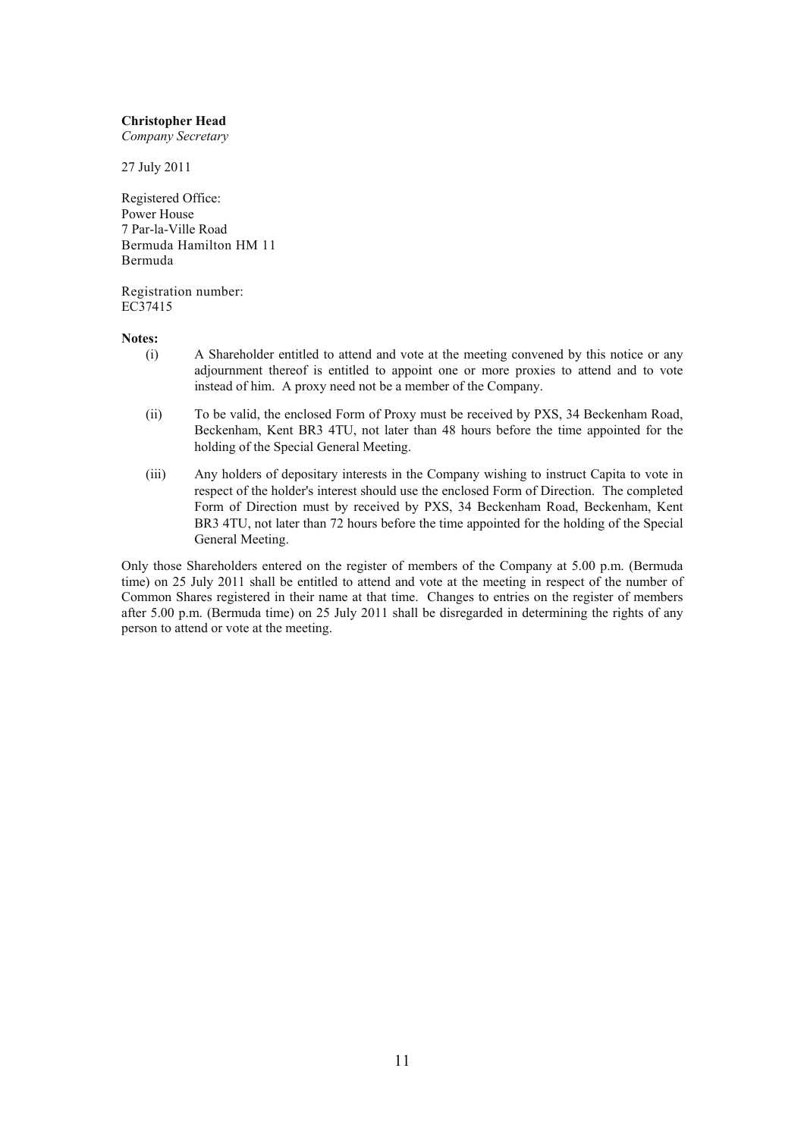## **Christopher Head**

*Company Secretary* 

27 July 2011

Registered Office: Power House 7 Par-la-Ville Road Bermuda Hamilton HM 11 Bermuda

Registration number: EC37415

## **Notes:**

- (i) A Shareholder entitled to attend and vote at the meeting convened by this notice or any adjournment thereof is entitled to appoint one or more proxies to attend and to vote instead of him. A proxy need not be a member of the Company.
- (ii) To be valid, the enclosed Form of Proxy must be received by PXS, 34 Beckenham Road, Beckenham, Kent BR3 4TU, not later than 48 hours before the time appointed for the holding of the Special General Meeting.
- (iii) Any holders of depositary interests in the Company wishing to instruct Capita to vote in respect of the holder's interest should use the enclosed Form of Direction. The completed Form of Direction must by received by PXS, 34 Beckenham Road, Beckenham, Kent BR3 4TU, not later than 72 hours before the time appointed for the holding of the Special General Meeting.

Only those Shareholders entered on the register of members of the Company at 5.00 p.m. (Bermuda time) on 25 July 2011 shall be entitled to attend and vote at the meeting in respect of the number of Common Shares registered in their name at that time. Changes to entries on the register of members after 5.00 p.m. (Bermuda time) on 25 July 2011 shall be disregarded in determining the rights of any person to attend or vote at the meeting.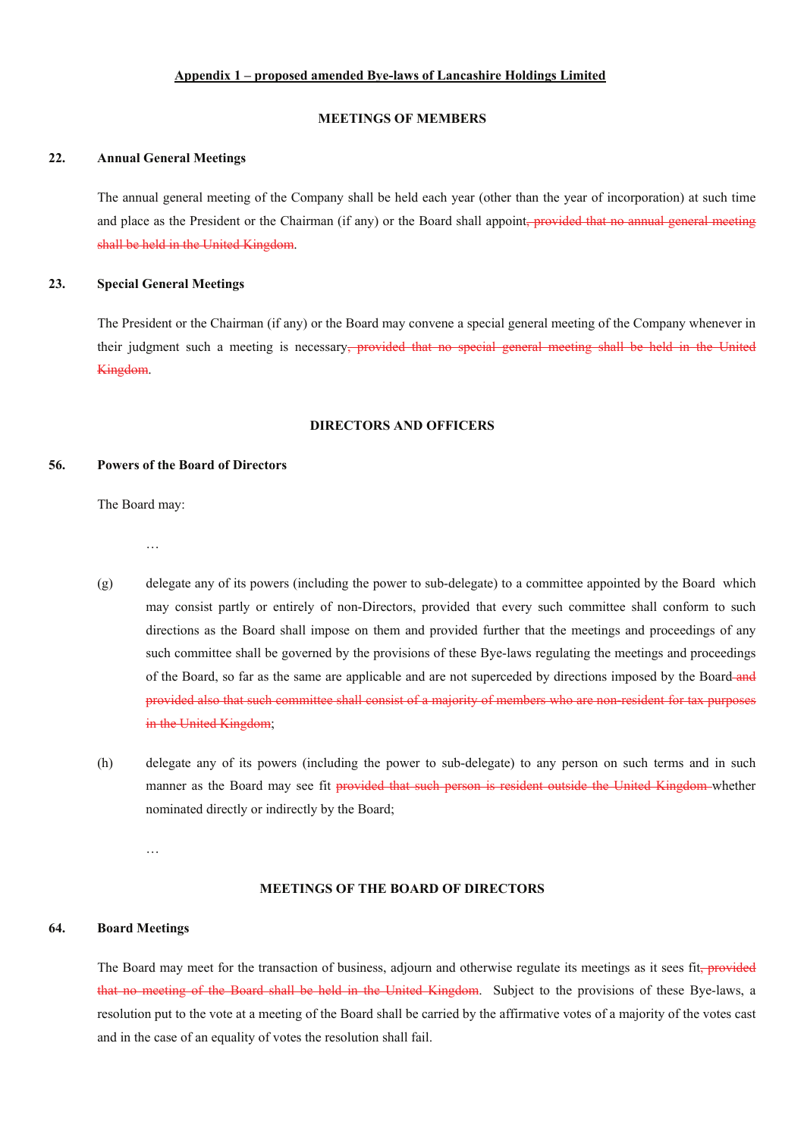## **Appendix 1 – proposed amended Bye-laws of Lancashire Holdings Limited**

#### **MEETINGS OF MEMBERS**

## **22. Annual General Meetings**

The annual general meeting of the Company shall be held each year (other than the year of incorporation) at such time and place as the President or the Chairman (if any) or the Board shall appoint, provided that no annual general meeting shall be held in the United Kingdom.

### **23. Special General Meetings**

The President or the Chairman (if any) or the Board may convene a special general meeting of the Company whenever in their judgment such a meeting is necessary<del>, provided that no special general meeting shall be held in the United</del> Kingdom.

## **DIRECTORS AND OFFICERS**

## **56. Powers of the Board of Directors**

The Board may:

…

- (g) delegate any of its powers (including the power to sub-delegate) to a committee appointed by the Board which may consist partly or entirely of non-Directors, provided that every such committee shall conform to such directions as the Board shall impose on them and provided further that the meetings and proceedings of any such committee shall be governed by the provisions of these Bye-laws regulating the meetings and proceedings of the Board, so far as the same are applicable and are not superceded by directions imposed by the Board-and provided also that such committee shall consist of a majority of members who are non-resident for tax purposes in the United Kingdom;
- (h) delegate any of its powers (including the power to sub-delegate) to any person on such terms and in such manner as the Board may see fit provided that such person is resident outside the United Kingdom whether nominated directly or indirectly by the Board;

…

### **MEETINGS OF THE BOARD OF DIRECTORS**

### **64. Board Meetings**

The Board may meet for the transaction of business, adjourn and otherwise regulate its meetings as it sees fit, provided that no meeting of the Board shall be held in the United Kingdom. Subject to the provisions of these Bye-laws, a resolution put to the vote at a meeting of the Board shall be carried by the affirmative votes of a majority of the votes cast and in the case of an equality of votes the resolution shall fail.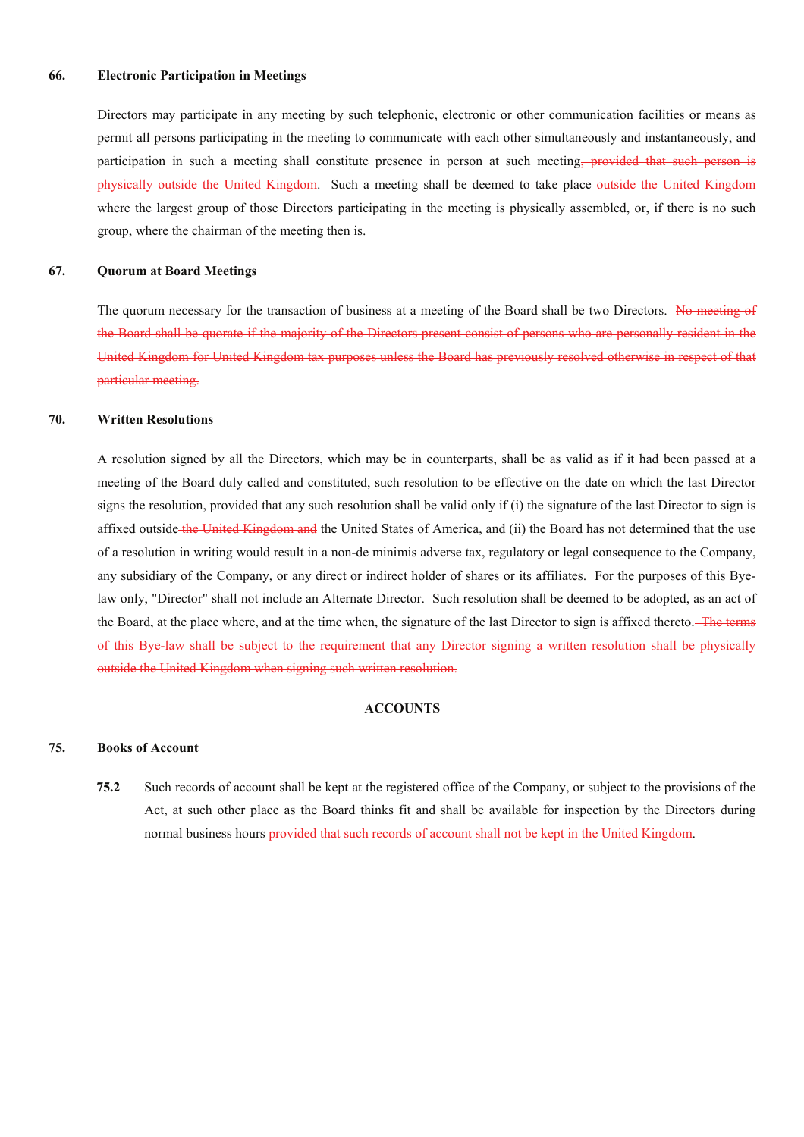#### **66. Electronic Participation in Meetings**

Directors may participate in any meeting by such telephonic, electronic or other communication facilities or means as permit all persons participating in the meeting to communicate with each other simultaneously and instantaneously, and participation in such a meeting shall constitute presence in person at such meeting, provided that such person is physically outside the United Kingdom. Such a meeting shall be deemed to take place outside the United Kingdom where the largest group of those Directors participating in the meeting is physically assembled, or, if there is no such group, where the chairman of the meeting then is.

#### **67. Quorum at Board Meetings**

The quorum necessary for the transaction of business at a meeting of the Board shall be two Directors. No meeting of the Board shall be quorate if the majority of the Directors present consist of persons who are personally resident in the United Kingdom for United Kingdom tax purposes unless the Board has previously resolved otherwise in respect of that particular meeting.

## **70. Written Resolutions**

A resolution signed by all the Directors, which may be in counterparts, shall be as valid as if it had been passed at a meeting of the Board duly called and constituted, such resolution to be effective on the date on which the last Director signs the resolution, provided that any such resolution shall be valid only if (i) the signature of the last Director to sign is affixed outside the United Kingdom and the United States of America, and (ii) the Board has not determined that the use of a resolution in writing would result in a non-de minimis adverse tax, regulatory or legal consequence to the Company, any subsidiary of the Company, or any direct or indirect holder of shares or its affiliates. For the purposes of this Byelaw only, "Director" shall not include an Alternate Director. Such resolution shall be deemed to be adopted, as an act of the Board, at the place where, and at the time when, the signature of the last Director to sign is affixed thereto. The terms of this Bye-law shall be subject to the requirement that any Director signing a written resolution shall be physically outside the United Kingdom when signing such written resolution.

#### **ACCOUNTS**

## **75. Books of Account**

**75.2** Such records of account shall be kept at the registered office of the Company, or subject to the provisions of the Act, at such other place as the Board thinks fit and shall be available for inspection by the Directors during normal business hours provided that such records of account shall not be kept in the United Kingdom.